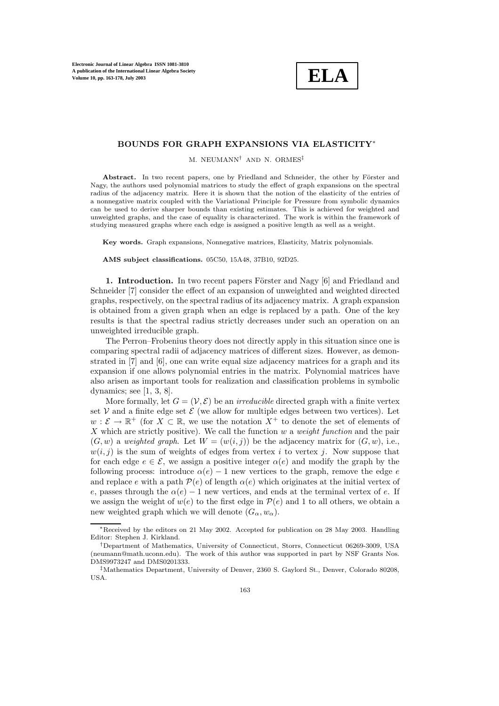**ELA**

## **BOUNDS FOR GRAPH EXPANSIONS VIA ELASTICITY**∗

M. NEUMANN† AND N. ORMES‡

Abstract. In two recent papers, one by Friedland and Schneider, the other by Förster and Nagy, the authors used polynomial matrices to study the effect of graph expansions on the spectral radius of the adjacency matrix. Here it is shown that the notion of the elasticity of the entries of a nonnegative matrix coupled with the Variational Principle for Pressure from symbolic dynamics can be used to derive sharper bounds than existing estimates. This is achieved for weighted and unweighted graphs, and the case of equality is characterized. The work is within the framework of studying measured graphs where each edge is assigned a positive length as well as a weight.

**Key words.** Graph expansions, Nonnegative matrices, Elasticity, Matrix polynomials.

**AMS subject classifications.** 05C50, 15A48, 37B10, 92D25.

**1. Introduction.** In two recent papers Förster and Nagy [6] and Friedland and Schneider [7] consider the effect of an expansion of unweighted and weighted directed graphs, respectively, on the spectral radius of its adjacency matrix. A graph expansion is obtained from a given graph when an edge is replaced by a path. One of the key results is that the spectral radius strictly decreases under such an operation on an unweighted irreducible graph.

The Perron–Frobenius theory does not directly apply in this situation since one is comparing spectral radii of adjacency matrices of different sizes. However, as demonstrated in [7] and [6], one can write equal size adjacency matrices for a graph and its expansion if one allows polynomial entries in the matrix. Polynomial matrices have also arisen as important tools for realization and classification problems in symbolic dynamics; see [1, 3, 8].

More formally, let  $G = (\mathcal{V}, \mathcal{E})$  be an *irreducible* directed graph with a finite vertex set V and a finite edge set  $\mathcal E$  (we allow for multiple edges between two vertices). Let  $w: \mathcal{E} \to \mathbb{R}^+$  (for  $X \subset \mathbb{R}$ , we use the notation  $X^+$  to denote the set of elements of X which are strictly positive). We call the function  $w$  a *weight function* and the pair  $(G, w)$  a weighted graph. Let  $W = (w(i, j))$  be the adjacency matrix for  $(G, w)$ , i.e.,  $w(i, j)$  is the sum of weights of edges from vertex i to vertex j. Now suppose that for each edge  $e \in \mathcal{E}$ , we assign a positive integer  $\alpha(e)$  and modify the graph by the following process: introduce  $\alpha(e) - 1$  new vertices to the graph, remove the edge e and replace e with a path  $\mathcal{P}(e)$  of length  $\alpha(e)$  which originates at the initial vertex of e, passes through the  $\alpha(e) - 1$  new vertices, and ends at the terminal vertex of e. If we assign the weight of  $w(e)$  to the first edge in  $\mathcal{P}(e)$  and 1 to all others, we obtain a new weighted graph which we will denote  $(G_{\alpha}, w_{\alpha})$ .

<sup>∗</sup>Received by the editors on 21 May 2002. Accepted for publication on 28 May 2003. Handling Editor: Stephen J. Kirkland.

<sup>†</sup>Department of Mathematics, University of Connecticut, Storrs, Connecticut 06269-3009, USA (neumann@math.uconn.edu). The work of this author was supported in part by NSF Grants Nos. DMS9973247 and DMS0201333.

<sup>‡</sup>Mathematics Department, University of Denver, 2360 S. Gaylord St., Denver, Colorado 80208, USA.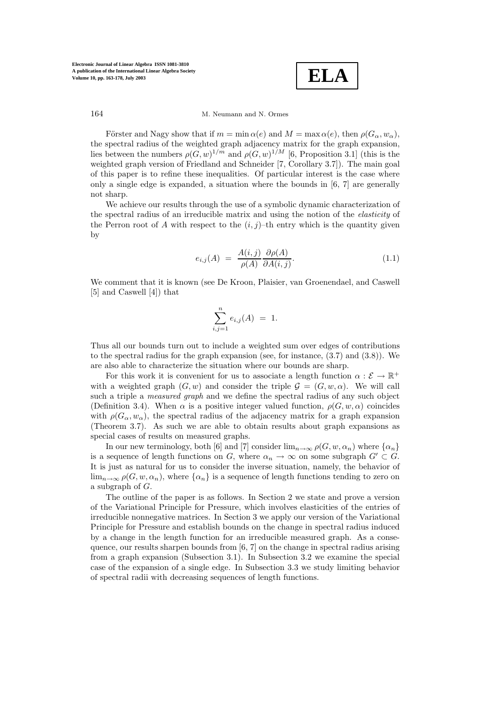**ELA**

Förster and Nagy show that if  $m = \min \alpha(e)$  and  $M = \max \alpha(e)$ , then  $\rho(G_\alpha, w_\alpha)$ , the spectral radius of the weighted graph adjacency matrix for the graph expansion, lies between the numbers  $\rho(G, w)^{1/m}$  and  $\rho(G, w)^{1/M}$  [6, Proposition 3.1] (this is the weighted graph version of Friedland and Schneider [7, Corollary 3.7]). The main goal of this paper is to refine these inequalities. Of particular interest is the case where only a single edge is expanded, a situation where the bounds in [6, 7] are generally not sharp.

We achieve our results through the use of a symbolic dynamic characterization of the spectral radius of an irreducible matrix and using the notion of the elasticity of the Perron root of A with respect to the  $(i, j)$ –th entry which is the quantity given by

$$
e_{i,j}(A) = \frac{A(i,j)}{\rho(A)} \frac{\partial \rho(A)}{\partial A(i,j)}.
$$
\n(1.1)

We comment that it is known (see De Kroon, Plaisier, van Groenendael, and Caswell [5] and Caswell [4]) that

$$
\sum_{i,j=1}^{n} e_{i,j}(A) = 1.
$$

Thus all our bounds turn out to include a weighted sum over edges of contributions to the spectral radius for the graph expansion (see, for instance, (3.7) and (3.8)). We are also able to characterize the situation where our bounds are sharp.

For this work it is convenient for us to associate a length function  $\alpha : \mathcal{E} \to \mathbb{R}^+$ with a weighted graph  $(G, w)$  and consider the triple  $\mathcal{G} = (G, w, \alpha)$ . We will call such a triple a *measured graph* and we define the spectral radius of any such object (Definition 3.4). When  $\alpha$  is a positive integer valued function,  $\rho(G, w, \alpha)$  coincides with  $\rho(G_{\alpha}, w_{\alpha})$ , the spectral radius of the adjacency matrix for a graph expansion (Theorem 3.7). As such we are able to obtain results about graph expansions as special cases of results on measured graphs.

In our new terminology, both [6] and [7] consider  $\lim_{n\to\infty} \rho(G, w, \alpha_n)$  where  $\{\alpha_n\}$ is a sequence of length functions on G, where  $\alpha_n \to \infty$  on some subgraph  $G' \subset G$ . It is just as natural for us to consider the inverse situation, namely, the behavior of  $\lim_{n\to\infty}\rho(G, w, \alpha_n)$ , where  $\{\alpha_n\}$  is a sequence of length functions tending to zero on a subgraph of G.

The outline of the paper is as follows. In Section 2 we state and prove a version of the Variational Principle for Pressure, which involves elasticities of the entries of irreducible nonnegative matrices. In Section 3 we apply our version of the Variational Principle for Pressure and establish bounds on the change in spectral radius induced by a change in the length function for an irreducible measured graph. As a consequence, our results sharpen bounds from [6, 7] on the change in spectral radius arising from a graph expansion (Subsection 3.1). In Subsection 3.2 we examine the special case of the expansion of a single edge. In Subsection 3.3 we study limiting behavior of spectral radii with decreasing sequences of length functions.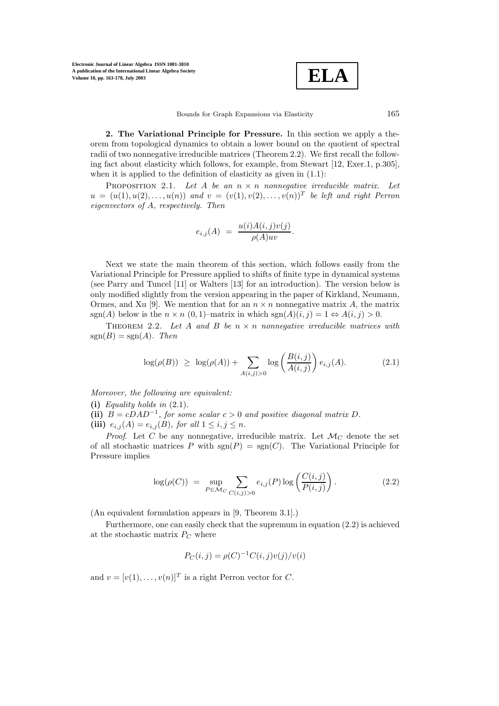$$
\boxed{\textbf{ELA}}
$$

**2. The Variational Principle for Pressure.** In this section we apply a theorem from topological dynamics to obtain a lower bound on the quotient of spectral radii of two nonnegative irreducible matrices (Theorem 2.2). We first recall the following fact about elasticity which follows, for example, from Stewart [12, Exer.1, p.305], when it is applied to the definition of elasticity as given in  $(1.1)$ :

PROPOSITION 2.1. Let A be an  $n \times n$  nonnegative irreducible matrix. Let  $u = (u(1), u(2), \ldots, u(n))$  and  $v = (v(1), v(2), \ldots, v(n))^T$  be left and right Perron eigenvectors of A, respectively. Then

$$
e_{i,j}(A) = \frac{u(i)A(i,j)v(j)}{\rho(A)uv}.
$$

Next we state the main theorem of this section, which follows easily from the Variational Principle for Pressure applied to shifts of finite type in dynamical systems (see Parry and Tuncel [11] or Walters [13] for an introduction). The version below is only modified slightly from the version appearing in the paper of Kirkland, Neumann, Ormes, and Xu [9]. We mention that for an  $n \times n$  nonnegative matrix A, the matrix sgn(A) below is the  $n \times n$  (0, 1)–matrix in which  $sgn(A)(i, j) = 1 \Leftrightarrow A(i, j) > 0$ .

THEOREM 2.2. Let A and B be  $n \times n$  nonnegative irreducible matrices with  $sgn(B) = sgn(A)$ . Then

$$
\log(\rho(B)) \ge \log(\rho(A)) + \sum_{A(i,j)>0} \log\left(\frac{B(i,j)}{A(i,j)}\right) e_{i,j}(A). \tag{2.1}
$$

Moreover, the following are equivalent:

- **(i)** Equality holds in (2.1).
- (ii)  $B = cDAD^{-1}$ , for some scalar  $c > 0$  and positive diagonal matrix D.
- (iii)  $e_{i,j}(A) = e_{i,j}(B)$ , for all  $1 \le i, j \le n$ .

*Proof.* Let C be any nonnegative, irreducible matrix. Let  $\mathcal{M}_C$  denote the set of all stochastic matrices P with  $sgn(P) = sgn(C)$ . The Variational Principle for Pressure implies

$$
\log(\rho(C)) = \sup_{P \in \mathcal{M}_C} \sum_{C(i,j) > 0} e_{i,j}(P) \log\left(\frac{C(i,j)}{P(i,j)}\right). \tag{2.2}
$$

 $(An equivalent formulation appears in [9, Theorem 3.1].)$ 

Furthermore, one can easily check that the supremum in equation (2.2) is achieved at the stochastic matrix  $P_C$  where

$$
P_C(i, j) = \rho(C)^{-1} C(i, j) v(j) / v(i)
$$

and  $v = [v(1), \ldots, v(n)]^T$  is a right Perron vector for C.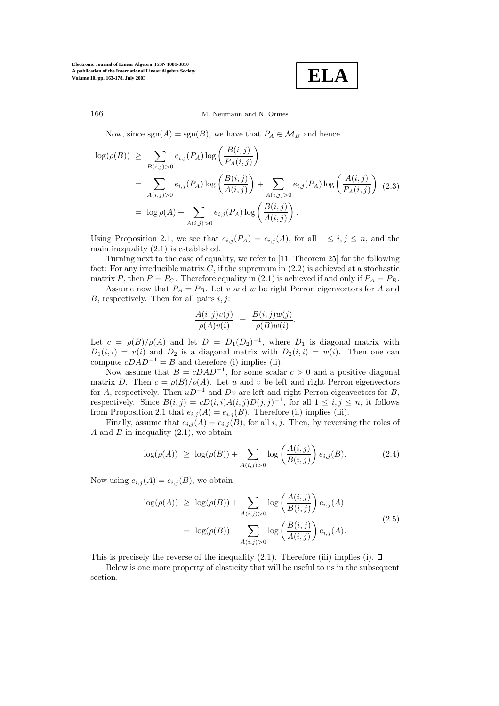$$
\mathbf{ELA}
$$

## 166 M. Neumann and N. Ormes

Now, since sgn(A) = sgn(B), we have that  $P_A \in \mathcal{M}_B$  and hence

$$
\log(\rho(B)) \geq \sum_{B(i,j)>0} e_{i,j}(P_A) \log \left( \frac{B(i,j)}{P_A(i,j)} \right)
$$
  
= 
$$
\sum_{A(i,j)>0} e_{i,j}(P_A) \log \left( \frac{B(i,j)}{A(i,j)} \right) + \sum_{A(i,j)>0} e_{i,j}(P_A) \log \left( \frac{A(i,j)}{P_A(i,j)} \right)
$$
 (2.3)  
= 
$$
\log \rho(A) + \sum_{A(i,j)>0} e_{i,j}(P_A) \log \left( \frac{B(i,j)}{A(i,j)} \right).
$$

Using Proposition 2.1, we see that  $e_{i,j}(P_A) = e_{i,j}(A)$ , for all  $1 \leq i, j \leq n$ , and the main inequality (2.1) is established.

Turning next to the case of equality, we refer to [11, Theorem 25] for the following fact: For any irreducible matrix  $C$ , if the supremum in  $(2.2)$  is achieved at a stochastic matrix P, then  $P = P_C$ . Therefore equality in (2.1) is achieved if and only if  $P_A = P_B$ .

Assume now that  $P_A = P_B$ . Let v and w be right Perron eigenvectors for A and B, respectively. Then for all pairs  $i, j$ :

$$
\frac{A(i,j)v(j)}{\rho(A)v(i)} = \frac{B(i,j)w(j)}{\rho(B)w(i)}.
$$

Let  $c = \rho(B)/\rho(A)$  and let  $D = D_1(D_2)^{-1}$ , where  $D_1$  is diagonal matrix with  $D_1(i, i) = v(i)$  and  $D_2$  is a diagonal matrix with  $D_2(i, i) = w(i)$ . Then one can compute  $cDAD^{-1} = B$  and therefore (i) implies (ii).

Now assume that  $B = cDAD^{-1}$ , for some scalar  $c > 0$  and a positive diagonal matrix D. Then  $c = \rho(B)/\rho(A)$ . Let u and v be left and right Perron eigenvectors for A, respectively. Then  $uD^{-1}$  and  $Dv$  are left and right Perron eigenvectors for B, respectively. Since  $B(i, j) = cD(i, i)A(i, j)D(j, j)^{-1}$ , for all  $1 \leq i, j \leq n$ , it follows from Proposition 2.1 that  $e_{i,j}(A) = e_{i,j}(B)$ . Therefore (ii) implies (iii).

Finally, assume that  $e_{i,j}(A) = e_{i,j}(B)$ , for all i, j. Then, by reversing the roles of A and B in inequality  $(2.1)$ , we obtain

$$
\log(\rho(A)) \ge \log(\rho(B)) + \sum_{A(i,j)>0} \log\left(\frac{A(i,j)}{B(i,j)}\right) e_{i,j}(B). \tag{2.4}
$$

Now using  $e_{i,j}(A) = e_{i,j}(B)$ , we obtain

$$
\log(\rho(A)) \ge \log(\rho(B)) + \sum_{A(i,j)>0} \log\left(\frac{A(i,j)}{B(i,j)}\right) e_{i,j}(A)
$$
  
= 
$$
\log(\rho(B)) - \sum_{A(i,j)>0} \log\left(\frac{B(i,j)}{A(i,j)}\right) e_{i,j}(A).
$$
 (2.5)

This is precisely the reverse of the inequality (2.1). Therefore (iii) implies (i).  $\Box$ 

Below is one more property of elasticity that will be useful to us in the subsequent section.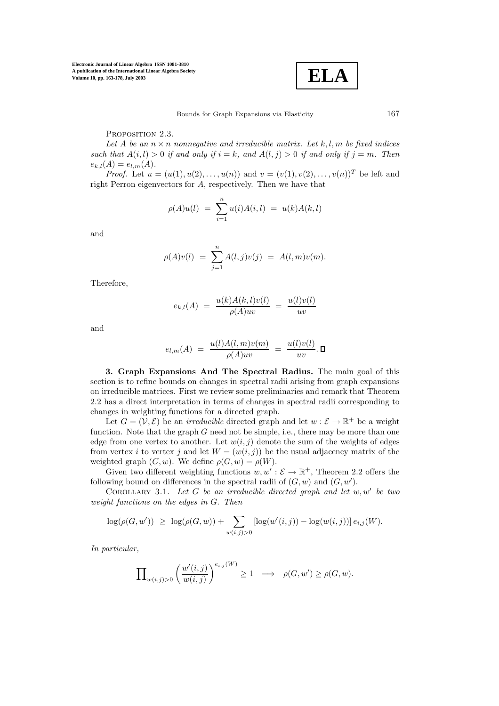

## PROPOSITION 2.3.

Let A be an  $n \times n$  nonnegative and irreducible matrix. Let k, l, m be fixed indices such that  $A(i, l) > 0$  if and only if  $i = k$ , and  $A(l, j) > 0$  if and only if  $j = m$ . Then  $e_{k,l}(A) = e_{l,m}(A).$ 

*Proof.* Let  $u = (u(1), u(2), \ldots, u(n))$  and  $v = (v(1), v(2), \ldots, v(n))^{T}$  be left and right Perron eigenvectors for A, respectively. Then we have that

$$
\rho(A)u(l) = \sum_{i=1}^{n} u(i)A(i,l) = u(k)A(k,l)
$$

and

$$
\rho(A)v(l) = \sum_{j=1}^{n} A(l,j)v(j) = A(l,m)v(m).
$$

Therefore,

$$
e_{k,l}(A) = \frac{u(k)A(k,l)v(l)}{\rho(A)uv} = \frac{u(l)v(l)}{uv}
$$

and

$$
e_{l,m}(A) = \frac{u(l)A(l,m)v(m)}{\rho(A)uv} = \frac{u(l)v(l)}{uv}.\ \Box
$$

**3. Graph Expansions And The Spectral Radius.** The main goal of this section is to refine bounds on changes in spectral radii arising from graph expansions on irreducible matrices. First we review some preliminaries and remark that Theorem 2.2 has a direct interpretation in terms of changes in spectral radii corresponding to changes in weighting functions for a directed graph.

Let  $G = (\mathcal{V}, \mathcal{E})$  be an *irreducible* directed graph and let  $w : \mathcal{E} \to \mathbb{R}^+$  be a weight function. Note that the graph  $G$  need not be simple, i.e., there may be more than one edge from one vertex to another. Let  $w(i, j)$  denote the sum of the weights of edges from vertex i to vertex j and let  $W = (w(i, j))$  be the usual adjacency matrix of the weighted graph  $(G, w)$ . We define  $\rho(G, w) = \rho(W)$ .

Given two different weighting functions  $w, w' : \mathcal{E} \to \mathbb{R}^+$ , Theorem 2.2 offers the following bound on differences in the spectral radii of  $(G, w)$  and  $(G, w')$ .

COROLLARY 3.1. Let G be an irreducible directed graph and let  $w, w'$  be two weight functions on the edges in G. Then

$$
\log(\rho(G, w')) \ge \log(\rho(G, w)) + \sum_{w(i,j) > 0} [\log(w'(i,j)) - \log(w(i,j))] e_{i,j}(W).
$$

In particular,

$$
\prod_{w(i,j)>0} \left(\frac{w'(i,j)}{w(i,j)}\right)^{e_{i,j}(W)} \ge 1 \quad \Longrightarrow \quad \rho(G,w') \ge \rho(G,w).
$$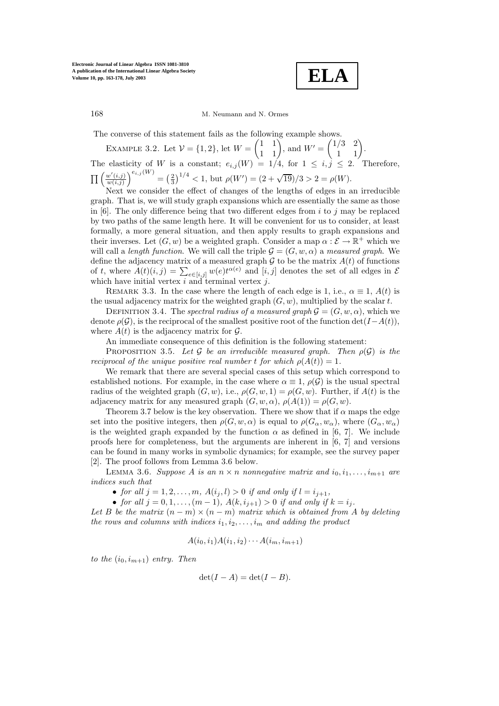**ELA**

The converse of this statement fails as the following example shows.

EXAMPLE 3.2. Let  $V = \{1, 2\}$ , let  $W =$  $\begin{pmatrix} 1 & 1 \\ 1 & 1 \end{pmatrix}$ , and  $W' =$  $\begin{pmatrix} 1/3 & 2 \\ 1 & 1 \end{pmatrix}$ . The elasticity of W is a constant;  $e_{i,j}(W)=1/4$ , for  $1 \leq i, j \leq 2$ . Therefore,  $\prod \left( \frac{w'(i,j)}{w'(i,j)} \right)$  $w(i,j)$  $e^{i,j(W)} = \left(\frac{2}{3}\right)^{1/4} < 1$ , but  $\rho(W') = (2 + \sqrt{19})/3 > 2 = \rho(W)$ .

Next we consider the effect of changes of the lengths of edges in an irreducible graph. That is, we will study graph expansions which are essentially the same as those in  $[6]$ . The only difference being that two different edges from i to j may be replaced by two paths of the same length here. It will be convenient for us to consider, at least formally, a more general situation, and then apply results to graph expansions and their inverses. Let  $(G, w)$  be a weighted graph. Consider a map  $\alpha : \mathcal{E} \to \mathbb{R}^+$  which we will call a length function. We will call the triple  $\mathcal{G} = (G, w, \alpha)$  a measured graph. We define the adjacency matrix of a measured graph  $G$  to be the matrix  $A(t)$  of functions of t, where  $A(t)(i, j) = \sum_{e \in [i,j]} w(e)t^{\alpha(e)}$  and  $[i, j]$  denotes the set of all edges in  $\mathcal{E}$ which have initial vertex  $i$  and terminal vertex  $j$ .

REMARK 3.3. In the case where the length of each edge is 1, i.e.,  $\alpha \equiv 1$ ,  $A(t)$  is the usual adjacency matrix for the weighted graph  $(G, w)$ , multiplied by the scalar t.

DEFINITION 3.4. The spectral radius of a measured graph  $\mathcal{G} = (G, w, \alpha)$ , which we denote  $\rho(\mathcal{G})$ , is the reciprocal of the smallest positive root of the function det $(I-A(t))$ , where  $A(t)$  is the adjacency matrix for  $\mathcal{G}$ .

An immediate consequence of this definition is the following statement:

PROPOSITION 3.5. Let G be an irreducible measured graph. Then  $\rho(\mathcal{G})$  is the reciprocal of the unique positive real number t for which  $\rho(A(t)) = 1$ .

We remark that there are several special cases of this setup which correspond to established notions. For example, in the case where  $\alpha \equiv 1$ ,  $\rho(\mathcal{G})$  is the usual spectral radius of the weighted graph  $(G, w)$ , i.e.,  $\rho(G, w, 1) = \rho(G, w)$ . Further, if  $A(t)$  is the adjacency matrix for any measured graph  $(G, w, \alpha)$ ,  $\rho(A(1)) = \rho(G, w)$ .

Theorem 3.7 below is the key observation. There we show that if  $\alpha$  maps the edge set into the positive integers, then  $\rho(G, w, \alpha)$  is equal to  $\rho(G_{\alpha}, w_{\alpha})$ , where  $(G_{\alpha}, w_{\alpha})$ is the weighted graph expanded by the function  $\alpha$  as defined in [6, 7]. We include proofs here for completeness, but the arguments are inherent in  $[6, 7]$  and versions can be found in many works in symbolic dynamics; for example, see the survey paper [2]. The proof follows from Lemma 3.6 below.

LEMMA 3.6. Suppose A is an  $n \times n$  nonnegative matrix and  $i_0, i_1, \ldots, i_{m+1}$  are indices such that

• for all  $j = 1, 2, ..., m$ ,  $A(i_j, l) > 0$  if and only if  $l = i_{j+1}$ ,

• for all  $j = 0, 1, ..., (m - 1)$ ,  $A(k, i_{j+1}) > 0$  if and only if  $k = i_j$ .

Let B be the matrix  $(n - m) \times (n - m)$  matrix which is obtained from A by deleting the rows and columns with indices  $i_1, i_2, \ldots, i_m$  and adding the product

$$
A(i_0, i_1)A(i_1, i_2)\cdots A(i_m, i_{m+1})
$$

to the  $(i_0, i_{m+1})$  entry. Then

$$
\det(I - A) = \det(I - B).
$$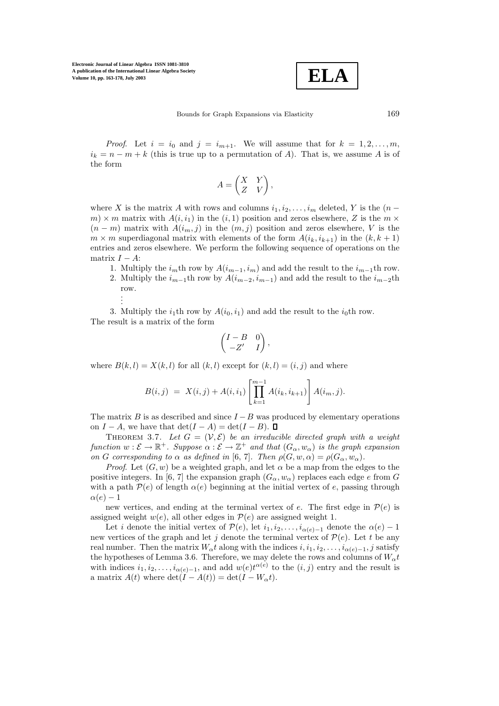$$
\boxed{\textbf{ELA}}
$$

Bounds for Graph Expansions via Elasticity 169

*Proof.* Let  $i = i_0$  and  $j = i_{m+1}$ . We will assume that for  $k = 1, 2, \ldots, m$ ,  $i_k = n - m + k$  (this is true up to a permutation of A). That is, we assume A is of the form

$$
A = \begin{pmatrix} X & Y \\ Z & V \end{pmatrix},
$$

where X is the matrix A with rows and columns  $i_1, i_2, \ldots, i_m$  deleted, Y is the  $(n$  $m \times m$  matrix with  $A(i, i_1)$  in the  $(i, 1)$  position and zeros elsewhere, Z is the  $m \times m$  $(n - m)$  matrix with  $A(i_m, j)$  in the  $(m, j)$  position and zeros elsewhere, V is the  $m \times m$  superdiagonal matrix with elements of the form  $A(i_k, i_{k+1})$  in the  $(k, k+1)$ entries and zeros elsewhere. We perform the following sequence of operations on the matrix  $I - A$ :

- 1. Multiply the  $i<sub>m</sub>$ th row by  $A(i<sub>m-1</sub>, i<sub>m</sub>)$  and add the result to the  $i<sub>m-1</sub>$ th row. 2. Multiply the  $i_{m-1}$ th row by  $A(i_{m-2}, i_{m-1})$  and add the result to the  $i_{m-2}$ th
	- row. . . .

3. Multiply the  $i_1$ th row by  $A(i_0, i_1)$  and add the result to the  $i_0$ th row. The result is a matrix of the form

$$
\begin{pmatrix} I-B & 0 \\ -Z' & I \end{pmatrix},
$$

where  $B(k, l) = X(k, l)$  for all  $(k, l)$  except for  $(k, l) = (i, j)$  and where

$$
B(i,j) = X(i,j) + A(i,i_1) \left[ \prod_{k=1}^{m-1} A(i_k, i_{k+1}) \right] A(i_m, j).
$$

The matrix B is as described and since  $I - B$  was produced by elementary operations on  $I - A$ , we have that  $\det(I - A) = \det(I - B)$ . □

THEOREM 3.7. Let  $G = (\mathcal{V}, \mathcal{E})$  be an irreducible directed graph with a weight function  $w : \mathcal{E} \to \mathbb{R}^+$ . Suppose  $\alpha : \mathcal{E} \to \mathbb{Z}^+$  and that  $(G_\alpha, w_\alpha)$  is the graph expansion on G corresponding to  $\alpha$  as defined in [6, 7]. Then  $\rho(G, w, \alpha) = \rho(G_{\alpha}, w_{\alpha})$ .

*Proof.* Let  $(G, w)$  be a weighted graph, and let  $\alpha$  be a map from the edges to the positive integers. In [6, 7] the expansion graph  $(G_{\alpha}, w_{\alpha})$  replaces each edge e from G with a path  $\mathcal{P}(e)$  of length  $\alpha(e)$  beginning at the initial vertex of e, passing through  $\alpha(e) - 1$ 

new vertices, and ending at the terminal vertex of e. The first edge in  $\mathcal{P}(e)$  is assigned weight  $w(e)$ , all other edges in  $P(e)$  are assigned weight 1.

Let i denote the initial vertex of  $\mathcal{P}(e)$ , let  $i_1, i_2, \ldots, i_{\alpha(e)-1}$  denote the  $\alpha(e)-1$ new vertices of the graph and let j denote the terminal vertex of  $\mathcal{P}(e)$ . Let t be any real number. Then the matrix  $W_{\alpha}t$  along with the indices  $i, i_1, i_2, \ldots, i_{\alpha(e)-1}, j$  satisfy the hypotheses of Lemma 3.6. Therefore, we may delete the rows and columns of  $W_{\alpha}t$ with indices  $i_1, i_2, \ldots, i_{\alpha(e)-1}$ , and add  $w(e)t^{\alpha(e)}$  to the  $(i, j)$  entry and the result is a matrix  $A(t)$  where  $\det(I - A(t)) = \det(I - W_{\alpha}t)$ .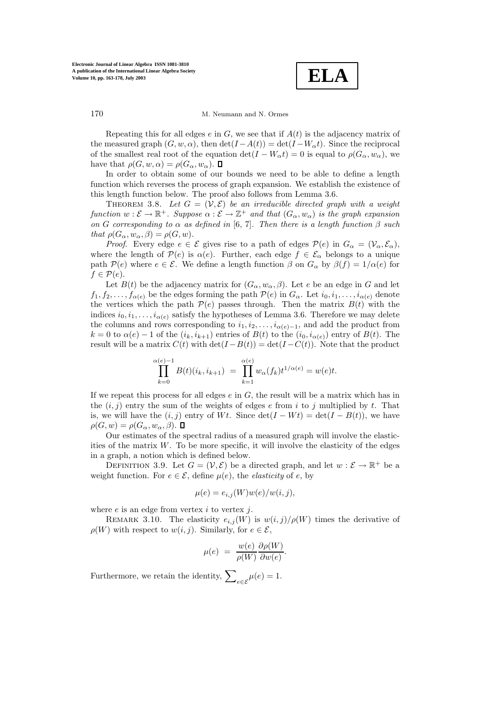**ELA**

Repeating this for all edges e in  $G$ , we see that if  $A(t)$  is the adjacency matrix of the measured graph  $(G, w, \alpha)$ , then  $\det(I - A(t)) = \det(I - W_{\alpha}t)$ . Since the reciprocal of the smallest real root of the equation  $\det(I - W_\alpha t) = 0$  is equal to  $\rho(G_\alpha, w_\alpha)$ , we have that  $\rho(G, w, \alpha) = \rho(G_{\alpha}, w_{\alpha}).$ 

In order to obtain some of our bounds we need to be able to define a length function which reverses the process of graph expansion. We establish the existence of this length function below. The proof also follows from Lemma 3.6.

THEOREM 3.8. Let  $G = (\mathcal{V}, \mathcal{E})$  be an irreducible directed graph with a weight function  $w : \mathcal{E} \to \mathbb{R}^+$ . Suppose  $\alpha : \mathcal{E} \to \mathbb{Z}^+$  and that  $(G_\alpha, w_\alpha)$  is the graph expansion on G corresponding to  $\alpha$  as defined in [6, 7]. Then there is a length function  $\beta$  such that  $\rho(G_{\alpha}, w_{\alpha}, \beta) = \rho(G, w)$ .

*Proof.* Every edge  $e \in \mathcal{E}$  gives rise to a path of edges  $\mathcal{P}(e)$  in  $G_{\alpha} = (\mathcal{V}_{\alpha}, \mathcal{E}_{\alpha})$ , where the length of  $\mathcal{P}(e)$  is  $\alpha(e)$ . Further, each edge  $f \in \mathcal{E}_{\alpha}$  belongs to a unique path  $\mathcal{P}(e)$  where  $e \in \mathcal{E}$ . We define a length function  $\beta$  on  $G_{\alpha}$  by  $\beta(f)=1/\alpha(e)$  for  $f \in \mathcal{P}(e)$ .

Let  $B(t)$  be the adjacency matrix for  $(G_{\alpha}, w_{\alpha}, \beta)$ . Let e be an edge in G and let  $f_1, f_2, \ldots, f_{\alpha(e)}$  be the edges forming the path  $\mathcal{P}(e)$  in  $G_\alpha$ . Let  $i_0, i_1, \ldots, i_{\alpha(e)}$  denote the vertices which the path  $\mathcal{P}(e)$  passes through. Then the matrix  $B(t)$  with the indices  $i_0, i_1, \ldots, i_{\alpha(e)}$  satisfy the hypotheses of Lemma 3.6. Therefore we may delete the columns and rows corresponding to  $i_1, i_2, \ldots, i_{\alpha(e)-1}$ , and add the product from  $k = 0$  to  $\alpha(e) - 1$  of the  $(i_k, i_{k+1})$  entries of  $B(t)$  to the  $(i_0, i_{\alpha(e)})$  entry of  $B(t)$ . The result will be a matrix  $C(t)$  with  $\det(I - B(t)) = \det(I - C(t))$ . Note that the product

$$
\prod_{k=0}^{\alpha(e)-1} B(t)(i_k, i_{k+1}) = \prod_{k=1}^{\alpha(e)} w_{\alpha}(f_k) t^{1/\alpha(e)} = w(e)t.
$$

If we repeat this process for all edges  $e$  in  $G$ , the result will be a matrix which has in the  $(i, j)$  entry the sum of the weights of edges e from i to j multiplied by t. That is, we will have the  $(i, j)$  entry of Wt. Since  $\det(I - Wt) = \det(I - B(t))$ , we have  $\rho(G, w) = \rho(G_\alpha, w_\alpha, \beta)$ .

Our estimates of the spectral radius of a measured graph will involve the elasticities of the matrix  $W$ . To be more specific, it will involve the elasticity of the edges in a graph, a notion which is defined below.

DEFINITION 3.9. Let  $G = (\mathcal{V}, \mathcal{E})$  be a directed graph, and let  $w : \mathcal{E} \to \mathbb{R}^+$  be a weight function. For  $e \in \mathcal{E}$ , define  $\mu(e)$ , the *elasticity* of e, by

$$
\mu(e) = e_{i,j}(W)w(e)/w(i,j),
$$

where  $e$  is an edge from vertex  $i$  to vertex  $j$ .

REMARK 3.10. The elasticity  $e_{i,j}(W)$  is  $w(i,j)/\rho(W)$  times the derivative of  $\rho(W)$  with respect to  $w(i, j)$ . Similarly, for  $e \in \mathcal{E}$ ,

$$
\mu(e) = \frac{w(e)}{\rho(W)} \frac{\partial \rho(W)}{\partial w(e)}.
$$

Furthermore, we retain the identity,  $\sum_{e \in \mathcal{E}} \mu(e) = 1$ .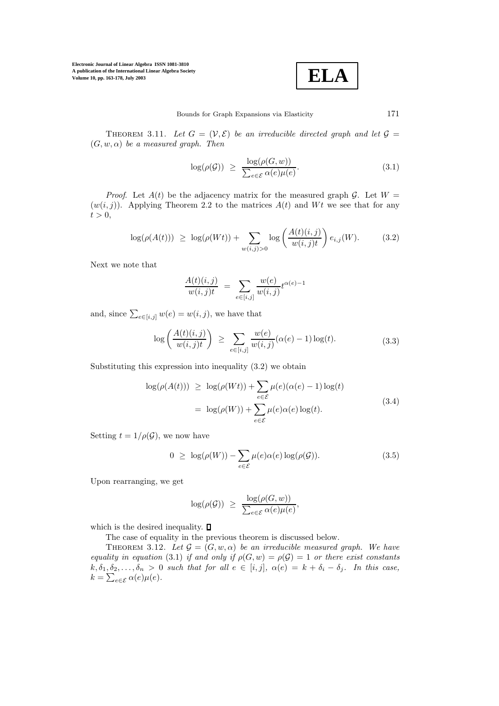$$
\boxed{\textbf{ELA}}
$$

THEOREM 3.11. Let  $G = (\mathcal{V}, \mathcal{E})$  be an irreducible directed graph and let  $\mathcal{G} =$  $(G, w, \alpha)$  be a measured graph. Then

$$
\log(\rho(\mathcal{G})) \ge \frac{\log(\rho(G, w))}{\sum_{e \in \mathcal{E}} \alpha(e)\mu(e)}.\tag{3.1}
$$

*Proof.* Let  $A(t)$  be the adjacency matrix for the measured graph G. Let  $W =$  $(w(i, j))$ . Applying Theorem 2.2 to the matrices  $A(t)$  and Wt we see that for any  $t > 0$ ,

$$
\log(\rho(A(t))) \ge \log(\rho(Wt)) + \sum_{w(i,j)>0} \log\left(\frac{A(t)(i,j)}{w(i,j)t}\right) e_{i,j}(W). \tag{3.2}
$$

Next we note that

$$
\frac{A(t)(i,j)}{w(i,j)t} = \sum_{e \in [i,j]} \frac{w(e)}{w(i,j)} t^{\alpha(e)-1}
$$

and, since  $\sum_{e \in [i,j]} w(e) = w(i,j)$ , we have that

$$
\log\left(\frac{A(t)(i,j)}{w(i,j)t}\right) \ge \sum_{e\in[i,j]} \frac{w(e)}{w(i,j)} (\alpha(e)-1) \log(t). \tag{3.3}
$$

Substituting this expression into inequality (3.2) we obtain

$$
\log(\rho(A(t))) \ge \log(\rho(Wt)) + \sum_{e \in \mathcal{E}} \mu(e)(\alpha(e) - 1) \log(t)
$$
  
= 
$$
\log(\rho(W)) + \sum_{e \in \mathcal{E}} \mu(e)\alpha(e) \log(t).
$$
 (3.4)

Setting  $t = 1/\rho(\mathcal{G})$ , we now have

$$
0 \ge \log(\rho(W)) - \sum_{e \in \mathcal{E}} \mu(e)\alpha(e) \log(\rho(\mathcal{G})). \tag{3.5}
$$

Upon rearranging, we get

$$
\log(\rho(\mathcal{G})) \geq \frac{\log(\rho(G,w))}{\sum_{e \in \mathcal{E}} \alpha(e)\mu(e)},
$$

which is the desired inequality.  $\blacksquare$ 

The case of equality in the previous theorem is discussed below.

THEOREM 3.12. Let  $\mathcal{G} = (G, w, \alpha)$  be an irreducible measured graph. We have equality in equation (3.1) if and only if  $\rho(G, w) = \rho(G) = 1$  or there exist constants  $k, \delta_1, \delta_2, \ldots, \delta_n > 0$  such that for all  $e \in [i, j]$ ,  $\alpha(e) = k + \delta_i - \delta_j$ . In this case,  $k = \sum_{e \in \mathcal{E}} \alpha(e) \mu(e).$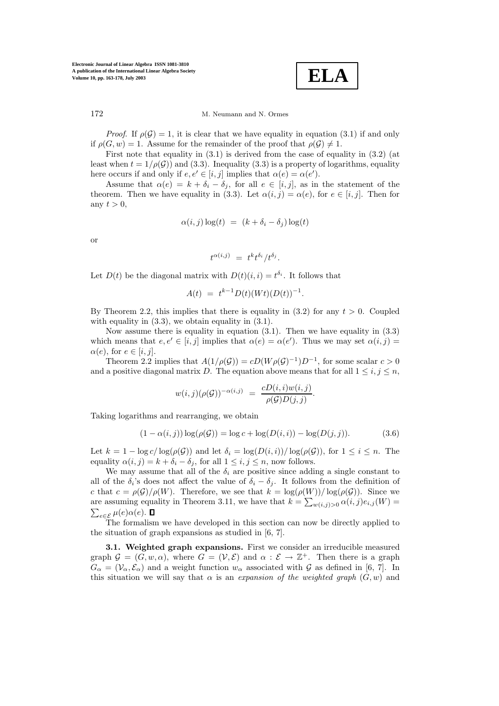**ELA**

172 M. Neumann and N. Ormes

*Proof.* If  $\rho(\mathcal{G}) = 1$ , it is clear that we have equality in equation (3.1) if and only if  $\rho(G, w) = 1$ . Assume for the remainder of the proof that  $\rho(\mathcal{G}) \neq 1$ .

First note that equality in (3.1) is derived from the case of equality in (3.2) (at least when  $t = 1/\rho(\mathcal{G})$  and (3.3). Inequality (3.3) is a property of logarithms, equality here occurs if and only if  $e, e' \in [i, j]$  implies that  $\alpha(e) = \alpha(e')$ .

Assume that  $\alpha(e) = k + \delta_i - \delta_j$ , for all  $e \in [i, j]$ , as in the statement of the theorem. Then we have equality in (3.3). Let  $\alpha(i, j) = \alpha(e)$ , for  $e \in [i, j]$ . Then for any  $t > 0$ ,

$$
\alpha(i,j)\log(t) = (k + \delta_i - \delta_j)\log(t)
$$

or

$$
t^{\alpha(i,j)} = t^k t^{\delta_i}/t^{\delta_j}.
$$

Let  $D(t)$  be the diagonal matrix with  $D(t)(i, i) = t^{\delta_i}$ . It follows that

$$
A(t) = t^{k-1} D(t) (Wt) (D(t))^{-1}.
$$

By Theorem 2.2, this implies that there is equality in  $(3.2)$  for any  $t > 0$ . Coupled with equality in  $(3.3)$ , we obtain equality in  $(3.1)$ .

Now assume there is equality in equation (3.1). Then we have equality in (3.3) which means that  $e, e' \in [i, j]$  implies that  $\alpha(e) = \alpha(e')$ . Thus we may set  $\alpha(i, j) =$  $\alpha(e)$ , for  $e \in [i, j]$ .

Theorem 2.2 implies that  $A(1/\rho(\mathcal{G})) = cD(W\rho(\mathcal{G})^{-1})D^{-1}$ , for some scalar  $c > 0$ and a positive diagonal matrix D. The equation above means that for all  $1 \leq i, j \leq n$ ,

$$
w(i,j)(\rho(G))^{-\alpha(i,j)} = \frac{cD(i,i)w(i,j)}{\rho(G)D(j,j)}.
$$

Taking logarithms and rearranging, we obtain

$$
(1 - \alpha(i, j)) \log(\rho(\mathcal{G})) = \log c + \log(D(i, i)) - \log(D(j, j)).
$$
\n(3.6)

Let  $k = 1 - \log c / \log(\rho(\mathcal{G}))$  and let  $\delta_i = \log(D(i, i))/\log(\rho(\mathcal{G}))$ , for  $1 \leq i \leq n$ . The equality  $\alpha(i, j) = k + \delta_i - \delta_j$ , for all  $1 \leq i, j \leq n$ , now follows.

We may assume that all of the  $\delta_i$  are positive since adding a single constant to all of the  $\delta_i$ 's does not affect the value of  $\delta_i - \delta_j$ . It follows from the definition of c that  $c = \rho(\mathcal{G})/\rho(W)$ . Therefore, we see that  $k = \log(\rho(W))/\log(\rho(\mathcal{G}))$ . Since we are assuming equality in Theorem 3.11, we have that  $k = \sum_{w(i,j)>0} \alpha(i,j)e_{i,j}(W)$  $\sum_{e \in \mathcal{E}} \mu(e) \alpha(e).$ 

The formalism we have developed in this section can now be directly applied to the situation of graph expansions as studied in [6, 7].

**3.1. Weighted graph expansions.** First we consider an irreducible measured graph  $\mathcal{G} = (G, w, \alpha)$ , where  $G = (\mathcal{V}, \mathcal{E})$  and  $\alpha : \mathcal{E} \to \mathbb{Z}^+$ . Then there is a graph  $G_{\alpha} = (\mathcal{V}_{\alpha}, \mathcal{E}_{\alpha})$  and a weight function  $w_{\alpha}$  associated with G as defined in [6, 7]. In this situation we will say that  $\alpha$  is an expansion of the weighted graph  $(G, w)$  and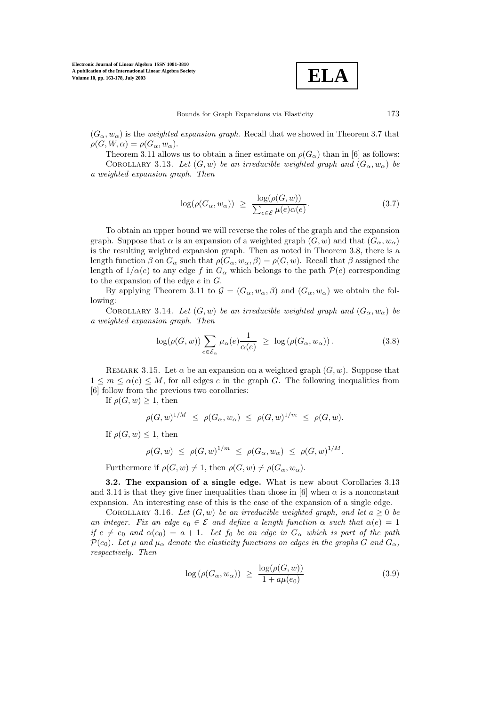$$
\boxed{\text{ELA}}
$$

 $(G_{\alpha}, w_{\alpha})$  is the *weighted expansion graph*. Recall that we showed in Theorem 3.7 that  $\rho(G, W, \alpha) = \rho(G_\alpha, w_\alpha).$ 

Theorem 3.11 allows us to obtain a finer estimate on  $\rho(G_\alpha)$  than in [6] as follows: COROLLARY 3.13. Let  $(G, w)$  be an irreducible weighted graph and  $(G_{\alpha}, w_{\alpha})$  be a weighted expansion graph. Then

$$
\log(\rho(G_{\alpha}, w_{\alpha})) \ge \frac{\log(\rho(G, w))}{\sum_{e \in \mathcal{E}} \mu(e)\alpha(e)}.
$$
\n(3.7)

To obtain an upper bound we will reverse the roles of the graph and the expansion graph. Suppose that  $\alpha$  is an expansion of a weighted graph  $(G, w)$  and that  $(G_{\alpha}, w_{\alpha})$ is the resulting weighted expansion graph. Then as noted in Theorem 3.8, there is a length function  $\beta$  on  $G_{\alpha}$  such that  $\rho(G_{\alpha}, w_{\alpha}, \beta) = \rho(G, w)$ . Recall that  $\beta$  assigned the length of  $1/\alpha(e)$  to any edge f in  $G_\alpha$  which belongs to the path  $\mathcal{P}(e)$  corresponding to the expansion of the edge  $e$  in  $G$ .

By applying Theorem 3.11 to  $\mathcal{G} = (G_{\alpha}, w_{\alpha}, \beta)$  and  $(G_{\alpha}, w_{\alpha})$  we obtain the following:

COROLLARY 3.14. Let  $(G, w)$  be an irreducible weighted graph and  $(G_{\alpha}, w_{\alpha})$  be a weighted expansion graph. Then

$$
\log(\rho(G, w)) \sum_{e \in \mathcal{E}_{\alpha}} \mu_{\alpha}(e) \frac{1}{\alpha(e)} \ge \log(\rho(G_{\alpha}, w_{\alpha})) . \tag{3.8}
$$

REMARK 3.15. Let  $\alpha$  be an expansion on a weighted graph  $(G, w)$ . Suppose that  $1 \leq m \leq \alpha(e) \leq M$ , for all edges e in the graph G. The following inequalities from [6] follow from the previous two corollaries:

If  $\rho(G, w) \geq 1$ , then

$$
\rho(G,w)^{1/M} \leq \rho(G_{\alpha},w_{\alpha}) \leq \rho(G,w)^{1/m} \leq \rho(G,w).
$$

If  $\rho(G, w) \leq 1$ , then

$$
\rho(G, w) \le \rho(G, w)^{1/m} \le \rho(G_{\alpha}, w_{\alpha}) \le \rho(G, w)^{1/M}.
$$

Furthermore if  $\rho(G, w) \neq 1$ , then  $\rho(G, w) \neq \rho(G_{\alpha}, w_{\alpha})$ .

**3.2. The expansion of a single edge.** What is new about Corollaries 3.13 and 3.14 is that they give finer inequalities than those in [6] when  $\alpha$  is a nonconstant expansion. An interesting case of this is the case of the expansion of a single edge.

COROLLARY 3.16. Let  $(G, w)$  be an irreducible weighted graph, and let  $a > 0$  be an integer. Fix an edge  $e_0 \in \mathcal{E}$  and define a length function  $\alpha$  such that  $\alpha(e)=1$ if  $e \neq e_0$  and  $\alpha(e_0) = a + 1$ . Let  $f_0$  be an edge in  $G_\alpha$  which is part of the path  $\mathcal{P}(e_0)$ . Let  $\mu$  and  $\mu_{\alpha}$  denote the elasticity functions on edges in the graphs G and  $G_{\alpha}$ , respectively. Then

$$
\log \left( \rho(G_{\alpha}, w_{\alpha}) \right) \ \geq \ \frac{\log(\rho(G, w))}{1 + a\mu(e_0)} \tag{3.9}
$$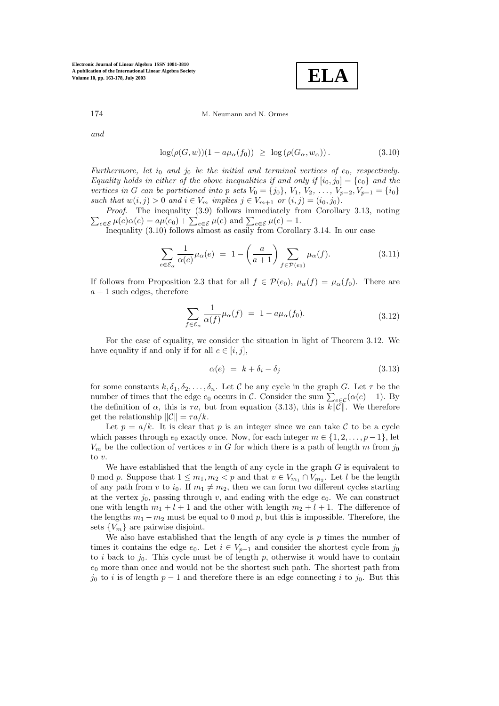**ELA**

174 M. Neumann and N. Ormes

and

$$
\log(\rho(G, w))(1 - a\mu_{\alpha}(f_0)) \ge \log(\rho(G_{\alpha}, w_{\alpha})). \tag{3.10}
$$

Furthermore, let  $i_0$  and  $j_0$  be the initial and terminal vertices of  $e_0$ , respectively. Equality holds in either of the above inequalities if and only if  $[i_0, j_0] = \{e_0\}$  and the vertices in G can be partitioned into p sets  $V_0 = \{j_0\}, V_1, V_2, \ldots, V_{p-2}, V_{p-1} = \{i_0\}$ such that  $w(i, j) > 0$  and  $i \in V_m$  implies  $j \in V_{m+1}$  or  $(i, j) = (i_0, j_0)$ .

 $\sum_{e \in \mathcal{E}} \mu(e) \alpha(e) = a\mu(e_0) + \sum_{e \in \mathcal{E}} \mu(e)$  and  $\sum_{e \in \mathcal{E}} \mu(e) = 1$ . Proof. The inequality (3.9) follows immediately from Corollary 3.13, noting

Inequality (3.10) follows almost as easily from Corollary 3.14. In our case

$$
\sum_{e \in \mathcal{E}_{\alpha}} \frac{1}{\alpha(e)} \mu_{\alpha}(e) = 1 - \left(\frac{a}{a+1}\right) \sum_{f \in \mathcal{P}(e_0)} \mu_{\alpha}(f). \tag{3.11}
$$

If follows from Proposition 2.3 that for all  $f \in \mathcal{P}(e_0)$ ,  $\mu_\alpha(f) = \mu_\alpha(f_0)$ . There are  $a + 1$  such edges, therefore

$$
\sum_{f \in \mathcal{E}_{\alpha}} \frac{1}{\alpha(f)} \mu_{\alpha}(f) = 1 - a \mu_{\alpha}(f_0). \tag{3.12}
$$

For the case of equality, we consider the situation in light of Theorem 3.12. We have equality if and only if for all  $e \in [i, j]$ ,

$$
\alpha(e) = k + \delta_i - \delta_j \tag{3.13}
$$

for some constants  $k, \delta_1, \delta_2, \ldots, \delta_n$ . Let C be any cycle in the graph G. Let  $\tau$  be the number of times that the edge  $e_0$  occurs in C. Consider the sum  $\sum_{e \in C} (\alpha(e) - 1)$ . By the definition of  $\alpha$ , this is  $\tau a$ , but from equation (3.13), this is  $k\|\tilde{C}\|$ . We therefore get the relationship  $\|\mathcal{C}\| = \tau a/k$ .

Let  $p = a/k$ . It is clear that p is an integer since we can take C to be a cycle which passes through  $e_0$  exactly once. Now, for each integer  $m \in \{1, 2, \ldots, p-1\}$ , let  $V_m$  be the collection of vertices v in G for which there is a path of length m from jo to  $v$ .

We have established that the length of any cycle in the graph  $G$  is equivalent to 0 mod p. Suppose that  $1 \leq m_1, m_2 < p$  and that  $v \in V_{m_1} \cap V_{m_2}$ . Let l be the length of any path from v to  $i_0$ . If  $m_1 \neq m_2$ , then we can form two different cycles starting at the vertex  $j_0$ , passing through v, and ending with the edge  $e_0$ . We can construct one with length  $m_1 + l + 1$  and the other with length  $m_2 + l + 1$ . The difference of the lengths  $m_1 - m_2$  must be equal to 0 mod p, but this is impossible. Therefore, the sets  ${V_m}$  are pairwise disjoint.

We also have established that the length of any cycle is  $p$  times the number of times it contains the edge  $e_0$ . Let  $i \in V_{n-1}$  and consider the shortest cycle from j<sub>0</sub> to i back to  $j_0$ . This cycle must be of length p, otherwise it would have to contain  $e_0$  more than once and would not be the shortest such path. The shortest path from  $j_0$  to i is of length  $p-1$  and therefore there is an edge connecting i to  $j_0$ . But this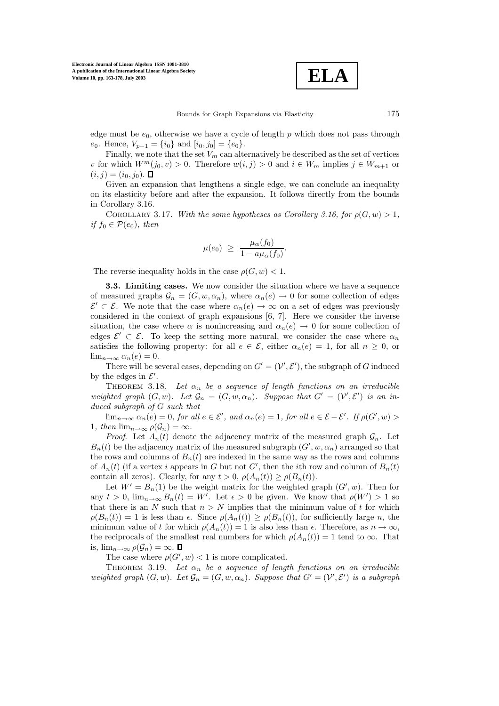**ELA**

edge must be  $e_0$ , otherwise we have a cycle of length p which does not pass through  $e_0$ . Hence,  $V_{p-1} = \{i_0\}$  and  $[i_0, j_0] = \{e_0\}.$ 

Finally, we note that the set  $V_m$  can alternatively be described as the set of vertices v for which  $W^m(j_0, v) > 0$ . Therefore  $w(i, j) > 0$  and  $i \in W_m$  implies  $j \in W_{m+1}$  or  $(i, j) = (i_0, j_0).$ 

Given an expansion that lengthens a single edge, we can conclude an inequality on its elasticity before and after the expansion. It follows directly from the bounds in Corollary 3.16.

COROLLARY 3.17. With the same hypotheses as Corollary 3.16, for  $\rho(G, w) > 1$ , if  $f_0 \in \mathcal{P}(e_0)$ , then

$$
\mu(e_0) \geq \frac{\mu_\alpha(f_0)}{1 - a\mu_\alpha(f_0)}.
$$

The reverse inequality holds in the case  $\rho(G, w) < 1$ .

**3.3. Limiting cases.** We now consider the situation where we have a sequence of measured graphs  $\mathcal{G}_n = (G, w, \alpha_n)$ , where  $\alpha_n(e) \to 0$  for some collection of edges  $\mathcal{E}' \subset \mathcal{E}$ . We note that the case where  $\alpha_n(e) \to \infty$  on a set of edges was previously considered in the context of graph expansions [6, 7]. Here we consider the inverse situation, the case where  $\alpha$  is nonincreasing and  $\alpha_n(e) \to 0$  for some collection of edges  $\mathcal{E}' \subset \mathcal{E}$ . To keep the setting more natural, we consider the case where  $\alpha_n$ satisfies the following property: for all  $e \in \mathcal{E}$ , either  $\alpha_n(e) = 1$ , for all  $n \geq 0$ , or  $\lim_{n\to\infty} \alpha_n(e) = 0.$ 

There will be several cases, depending on  $G' = (\mathcal{V}', \mathcal{E}')$ , the subgraph of G induced by the edges in  $\mathcal{E}'$ .

THEOREM 3.18. Let  $\alpha_n$  be a sequence of length functions on an irreducible weighted graph  $(G, w)$ . Let  $\mathcal{G}_n = (G, w, \alpha_n)$ . Suppose that  $G' = (\mathcal{V}', \mathcal{E}')$  is an induced subgraph of G such that

 $\lim_{n\to\infty} \alpha_n(e) = 0$ , for all  $e \in \mathcal{E}'$ , and  $\alpha_n(e) = 1$ , for all  $e \in \mathcal{E} - \mathcal{E}'$ . If  $\rho(G', w) >$ 1, then  $\lim_{n\to\infty}\rho(\mathcal{G}_n)=\infty$ .

*Proof.* Let  $A_n(t)$  denote the adjacency matrix of the measured graph  $\mathcal{G}_n$ . Let  $B_n(t)$  be the adjacency matrix of the measured subgraph  $(G', w, \alpha_n)$  arranged so that the rows and columns of  $B_n(t)$  are indexed in the same way as the rows and columns of  $A_n(t)$  (if a vertex i appears in G but not G', then the ith row and column of  $B_n(t)$ ) contain all zeros). Clearly, for any  $t > 0$ ,  $\rho(A_n(t)) \geq \rho(B_n(t))$ .

Let  $W' = B_n(1)$  be the weight matrix for the weighted graph  $(G', w)$ . Then for any  $t > 0$ ,  $\lim_{n \to \infty} B_n(t) = W'$ . Let  $\epsilon > 0$  be given. We know that  $\rho(W') > 1$  so that there is an N such that  $n>N$  implies that the minimum value of t for which  $\rho(B_n(t)) = 1$  is less than  $\epsilon$ . Since  $\rho(A_n(t)) \geq \rho(B_n(t))$ , for sufficiently large n, the minimum value of t for which  $\rho(A_n(t)) = 1$  is also less than  $\epsilon$ . Therefore, as  $n \to \infty$ , the reciprocals of the smallest real numbers for which  $\rho(A_n(t)) = 1$  tend to  $\infty$ . That is,  $\lim_{n\to\infty}\rho(\mathcal{G}_n)=\infty$ .  $\Box$ 

The case where  $\rho(G', w) < 1$  is more complicated.

THEOREM 3.19. Let  $\alpha_n$  be a sequence of length functions on an irreducible weighted graph  $(G, w)$ . Let  $\mathcal{G}_n = (G, w, \alpha_n)$ . Suppose that  $G' = (\mathcal{V}', \mathcal{E}')$  is a subgraph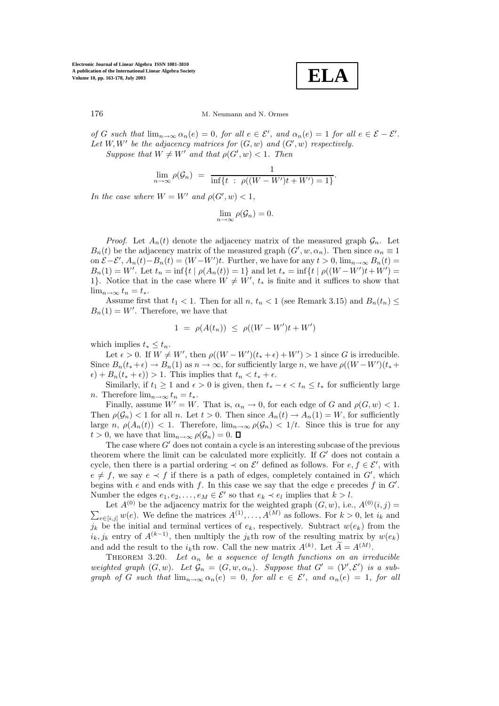**ELA**

of G such that  $\lim_{n\to\infty} \alpha_n(e) = 0$ , for all  $e \in \mathcal{E}'$ , and  $\alpha_n(e) = 1$  for all  $e \in \mathcal{E} - \mathcal{E}'$ . Let  $W, W'$  be the adjacency matrices for  $(G, w)$  and  $(G', w)$  respectively.

Suppose that  $W \neq W'$  and that  $\rho(G', w) < 1$ . Then

$$
\lim_{n \to \infty} \rho(\mathcal{G}_n) = \frac{1}{\inf\{t \; : \; \rho((W - W')t + W') = 1\}}.
$$

In the case where  $W = W'$  and  $\rho(G', w) < 1$ ,

$$
\lim_{n\to\infty}\rho(\mathcal{G}_n)=0.
$$

*Proof.* Let  $A_n(t)$  denote the adjacency matrix of the measured graph  $\mathcal{G}_n$ . Let  $B_n(t)$  be the adjacency matrix of the measured graph  $(G', w, \alpha_n)$ . Then since  $\alpha_n \equiv 1$ on  $\mathcal{E} - \mathcal{E}'$ ,  $A_n(t) - B_n(t) = (W - W')t$ . Further, we have for any  $t > 0$ ,  $\lim_{n \to \infty} B_n(t) =$  $B_n(1) = W'$ . Let  $t_n = \inf\{t \mid \rho(A_n(t)) = 1\}$  and let  $t_* = \inf\{t \mid \rho((W - W')t + W') = 1\}$ 1}. Notice that in the case where  $W \neq W'$ ,  $t_*$  is finite and it suffices to show that  $\lim_{n\to\infty} t_n = t_*$ .

Assume first that  $t_1 < 1$ . Then for all  $n, t_n < 1$  (see Remark 3.15) and  $B_n(t_n) \le$  $B_n(1) = W'$ . Therefore, we have that

$$
1 = \rho(A(t_n)) \le \rho((W - W')t + W')
$$

which implies  $t_* \leq t_n$ .

Let  $\epsilon > 0$ . If  $W \neq W'$ , then  $\rho((W - W')(t_* + \epsilon) + W') > 1$  since G is irreducible. Since  $B_n(t_+ + \epsilon) \to B_n(1)$  as  $n \to \infty$ , for sufficiently large n, we have  $\rho((W - W')(t_* +$  $\epsilon$ ) +  $B_n(t_* + \epsilon)$ ) > 1. This implies that  $t_n < t_* + \epsilon$ .

Similarly, if  $t_1 \geq 1$  and  $\epsilon > 0$  is given, then  $t_* - \epsilon < t_n \leq t_*$  for sufficiently large n. Therefore  $\lim_{n\to\infty}t_n=t_*$ .

Finally, assume  $W' = W$ . That is,  $\alpha_n \to 0$ , for each edge of G and  $\rho(G, w) < 1$ . Then  $\rho(\mathcal{G}_n) < 1$  for all n. Let  $t > 0$ . Then since  $A_n(t) \to A_n(1) = W$ , for sufficiently large n,  $\rho(A_n(t)) < 1$ . Therefore,  $\lim_{n\to\infty} \rho(\mathcal{G}_n) < 1/t$ . Since this is true for any  $t > 0$ , we have that  $\lim_{n \to \infty} \rho(\mathcal{G}_n) = 0$ .

The case where  $G'$  does not contain a cycle is an interesting subcase of the previous theorem where the limit can be calculated more explicitly. If  $G'$  does not contain a cycle, then there is a partial ordering  $\prec$  on  $\mathcal{E}'$  defined as follows. For  $e, f \in \mathcal{E}'$ , with  $e \neq f$ , we say  $e \prec f$  if there is a path of edges, completely contained in  $G'$ , which begins with  $e$  and ends with  $f$ . In this case we say that the edge  $e$  precedes  $f$  in  $G'$ . Number the edges  $e_1, e_2, \ldots, e_M \in \mathcal{E}'$  so that  $e_k \prec e_l$  implies that  $k > l$ .

Let  $A^{(0)}$  be the adjacency matrix for the weighted graph  $(G, w)$ , i.e.,  $A^{(0)}$ Let  $A^{(0)}$  be the adjacency matrix for the weighted graph  $(G, w)$ , i.e.,  $A^{(0)}(i, j) = \sum_{x \in [i, j]} w(e)$ . We define the matrices  $A^{(1)}, \ldots, A^{(M)}$  as follows. For  $k > 0$ , let  $i_k$  and  $e \in [i,j]$  w(e). We define the matrices  $A^{(1)}, \ldots, A^{(M)}$  as follows. For  $k > 0$ , let  $i_k$  and  $j_k$  be the initial and terminal vertices of  $e_k$ , respectively. Subtract  $w(e_k)$  from the  $i_k, j_k$  entry of  $A^{(k-1)}$ , then multiply the  $j_k$ <sup>th</sup> row of the resulting matrix by  $w(e_k)$ and add the result to the  $i_k$ th row. Call the new matrix  $A^{(k)}$ . Let  $\widetilde{A} = A^{(M)}$ .

THEOREM 3.20. Let  $\alpha_n$  be a sequence of length functions on an irreducible weighted graph  $(G, w)$ . Let  $\mathcal{G}_n = (G, w, \alpha_n)$ . Suppose that  $G' = (\mathcal{V}', \mathcal{E}')$  is a subgraph of G such that  $\lim_{n\to\infty} \alpha_n(e) = 0$ , for all  $e \in \mathcal{E}'$ , and  $\alpha_n(e) = 1$ , for all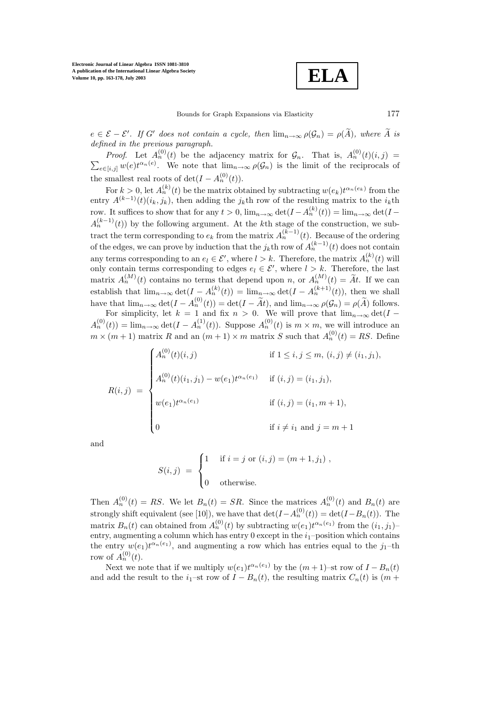**ELA**

 $e \in \mathcal{E} - \mathcal{E}'$ . If G' does not contain a cycle, then  $\lim_{n \to \infty} \rho(\mathcal{G}_n) = \rho(A)$ , where A is defined in the previous paragraph.

*Proof.* Let  $A_n^{(0)}(t)$  be the adjacency matrix for  $\mathcal{G}_n$ . That is,  $A_n^{(0)}$  $\sum$ *Proof.* Let  $A_n^{(0)}(t)$  be the adjacency matrix for  $\mathcal{G}_n$ . That is,  $A_n^{(0)}(t)(i,j) =$  $e \in [i,j]$   $w(e)t^{\alpha_n(e)}$ . We note that  $\lim_{n \to \infty} \rho(\mathcal{G}_n)$  is the limit of the reciprocals of the smallest real roots of  $\det(I - A_n^{(0)}(t)).$ 

For  $k > 0$ , let  $A_n^{(k)}(t)$  be the matrix obtained by subtracting  $w(e_k)t^{\alpha_n(e_k)}$  from the entry  $A^{(k-1)}(t)(i_k, j_k)$ , then adding the j<sub>k</sub>th row of the resulting matrix to the *i<sub>k</sub>*th row. It suffices to show that for any  $t > 0$ ,  $\lim_{n \to \infty} \det(I - A_n^{(k)}(t)) = \lim_{n \to \infty} \det(I A_n^{(k-1)}(t)$  by the following argument. At the kth stage of the construction, we subtract the term corresponding to  $e_k$  from the matrix  $A_n^{(k-1)}(t)$ . Because of the ordering of the edges, we can prove by induction that the  $i_k$ th row of  $A_n^{(k-1)}(t)$  does not contain any terms corresponding to an  $e_l \in \mathcal{E}'$ , where  $l > k$ . Therefore, the matrix  $A_n^{(k)}(t)$  will only contain terms corresponding to edges  $e_l \in \mathcal{E}'$ , where  $l > k$ . Therefore, the last matrix  $A_n^{(M)}(t)$  contains no terms that depend upon n, or  $A_n^{(M)}(t) = \tilde{A}t$ . If we can establish that  $\lim_{n\to\infty} \det(I - A_n^{(k)}(t)) = \lim_{n\to\infty} \det(I - A_n^{(k+1)}(t))$ , then we shall have that  $\lim_{n\to\infty} \det(I - A_n^{(0)}(t)) = \det(I - \tilde{A}t)$ , and  $\lim_{n\to\infty} \rho(\mathcal{G}_n) = \rho(\tilde{A})$  follows.

For simplicity, let  $k = 1$  and fix  $n > 0$ . We will prove that  $\lim_{n\to\infty} \det(I A_n^{(0)}(t) = \lim_{n \to \infty} \det(I - A_n^{(1)}(t))$ . Suppose  $A_n^{(0)}(t)$  is  $m \times m$ , we will introduce an  $m \times (m+1)$  matrix R and an  $(m+1) \times m$  matrix S such that  $A_n^{(0)}(t) = RS$ . Define

$$
R(i,j) = \begin{cases} A_n^{(0)}(t)(i,j) & \text{if } 1 \le i,j \le m, (i,j) \ne (i_1,j_1), \\ A_n^{(0)}(t)(i_1,j_1) - w(e_1)t^{\alpha_n(e_1)} & \text{if } (i,j) = (i_1,j_1), \\ w(e_1)t^{\alpha_n(e_1)} & \text{if } (i,j) = (i_1, m+1), \\ 0 & \text{if } i \ne i_1 \text{ and } j = m+1 \end{cases}
$$

and

$$
S(i,j) = \begin{cases} 1 & \text{if } i = j \text{ or } (i,j) = (m+1,j_1), \\ 0 & \text{otherwise.} \end{cases}
$$

Then  $A_n^{(0)}(t) = RS$ . We let  $B_n(t) = SR$ . Since the matrices  $A_n^{(0)}(t)$  and  $B_n(t)$  are strongly shift equivalent (see [10]), we have that  $\det(I - A_n^{(0)}(t)) = \det(I - B_n(t))$ . The matrix  $B_n(t)$  can obtained from  $A_n^{(0)}(t)$  by subtracting  $w(e_1)t^{\alpha_n(e_1)}$  from the  $(i_1, j_1)$ entry, augmenting a column which has entry  $0$  except in the  $i_1$ -position which contains the entry  $w(e_1)t^{\alpha_n(e_1)}$ , and augmenting a row which has entries equal to the  $j_1$ -th row of  $A_n^{(0)}(t)$ .

Next we note that if we multiply  $w(e_1)t^{\alpha_n(e_1)}$  by the  $(m+1)$ –st row of  $I - B_n(t)$ and add the result to the  $i_1$ –st row of  $I - B_n(t)$ , the resulting matrix  $C_n(t)$  is  $(m +$